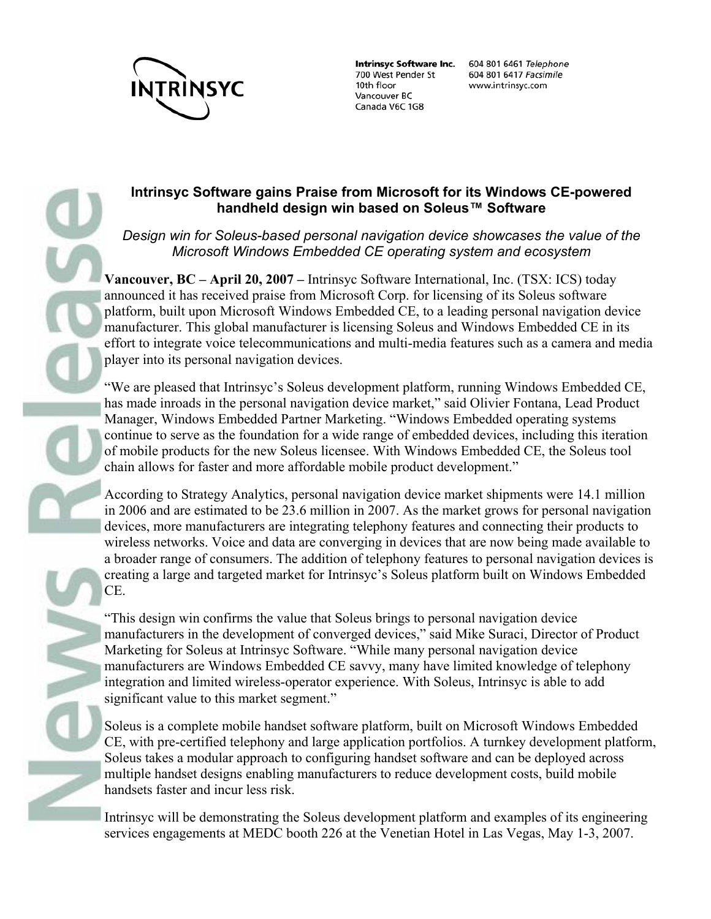

**Intrinsyc Software Inc.** 700 West Pender St 10th floor Vancouver BC Canada V6C 1G8

604 801 6461 Telephone 604 801 6417 Facsimile www.intrinsyc.com

## **Intrinsyc Software gains Praise from Microsoft for its Windows CE-powered handheld design win based on Soleus™ Software**

*Design win for Soleus-based personal navigation device showcases the value of the Microsoft Windows Embedded CE operating system and ecosystem*

**Vancouver, BC – April 20, 2007 –** Intrinsyc Software International, Inc. (TSX: ICS) today announced it has received praise from Microsoft Corp. for licensing of its Soleus software platform, built upon Microsoft Windows Embedded CE, to a leading personal navigation device manufacturer. This global manufacturer is licensing Soleus and Windows Embedded CE in its effort to integrate voice telecommunications and multi-media features such as a camera and media player into its personal navigation devices.

"We are pleased that Intrinsyc's Soleus development platform, running Windows Embedded CE, has made inroads in the personal navigation device market," said Olivier Fontana, Lead Product Manager, Windows Embedded Partner Marketing. "Windows Embedded operating systems continue to serve as the foundation for a wide range of embedded devices, including this iteration of mobile products for the new Soleus licensee. With Windows Embedded CE, the Soleus tool chain allows for faster and more affordable mobile product development."

According to Strategy Analytics, personal navigation device market shipments were 14.1 million in 2006 and are estimated to be 23.6 million in 2007. As the market grows for personal navigation devices, more manufacturers are integrating telephony features and connecting their products to wireless networks. Voice and data are converging in devices that are now being made available to a broader range of consumers. The addition of telephony features to personal navigation devices is creating a large and targeted market for Intrinsyc's Soleus platform built on Windows Embedded CE.

"This design win confirms the value that Soleus brings to personal navigation device manufacturers in the development of converged devices," said Mike Suraci, Director of Product Marketing for Soleus at Intrinsyc Software. "While many personal navigation device manufacturers are Windows Embedded CE savvy, many have limited knowledge of telephony integration and limited wireless-operator experience. With Soleus, Intrinsyc is able to add significant value to this market segment."

Soleus is a complete mobile handset software platform, built on Microsoft Windows Embedded CE, with pre-certified telephony and large application portfolios. A turnkey development platform, Soleus takes a modular approach to configuring handset software and can be deployed across multiple handset designs enabling manufacturers to reduce development costs, build mobile handsets faster and incur less risk.

Intrinsyc will be demonstrating the Soleus development platform and examples of its engineering services engagements at MEDC booth 226 at the Venetian Hotel in Las Vegas, May 1-3, 2007.